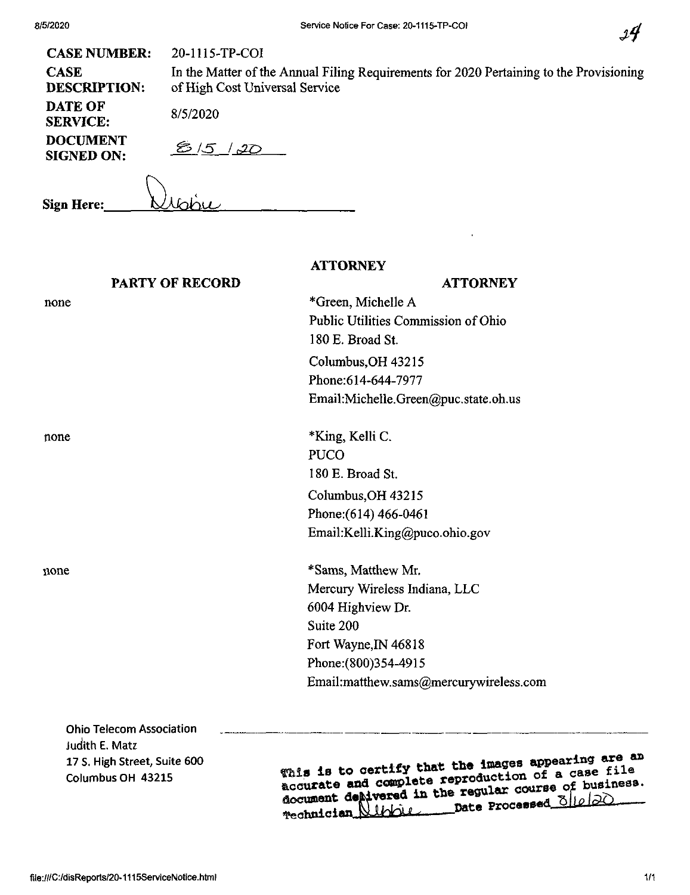| ٠ |
|---|
|---|

| <b>CASE NUMBER:</b>                  | 20-1115-TP-COI                                                                                                            |
|--------------------------------------|---------------------------------------------------------------------------------------------------------------------------|
| <b>CASE</b><br><b>DESCRIPTION:</b>   | In the Matter of the Annual Filing Requirements for 2020 Pertaining to the Provisioning<br>of High Cost Universal Service |
| DATE OF<br><b>SERVICE:</b>           | 8/5/2020                                                                                                                  |
| <b>DOCUMENT</b><br><b>SIGNED ON:</b> | $20^{15}$                                                                                                                 |
| Sign Here:                           |                                                                                                                           |

**ATTORNEY**

| <b>ATTORNEY</b>                        |
|----------------------------------------|
| *Green, Michelle A                     |
| Public Utilities Commission of Ohio    |
| 180 E. Broad St.                       |
| Columbus, OH 43215                     |
| Phone: 614-644-7977                    |
| Email:Michelle.Green@puc.state.oh.us   |
| *King, Kelli C.                        |
| <b>PUCO</b>                            |
| 180 E. Broad St.                       |
| Columbus, OH 43215                     |
| Phone: (614) 466-0461                  |
| Email:Kelli.King@puco.ohio.gov         |
| *Sams, Matthew Mr.                     |
| Mercury Wireless Indiana, LLC          |
| 6004 Highview Dr.                      |
| Suite 200                              |
| Fort Wayne, IN 46818                   |
| Phone: (800) 354-4915                  |
| Email:matthew.sams@mercurywireless.com |
|                                        |
|                                        |

**Ohio Telecom Association Judith E. Matz 17 S. High Street Suite 600 Columbus OH 43215**

**m. <sup>18</sup> to certify** accurate and complete reproductive of business.<br>document depivered in the regular course of business. 1bbie pate Processed\_<u>Oile/20</u> rechnician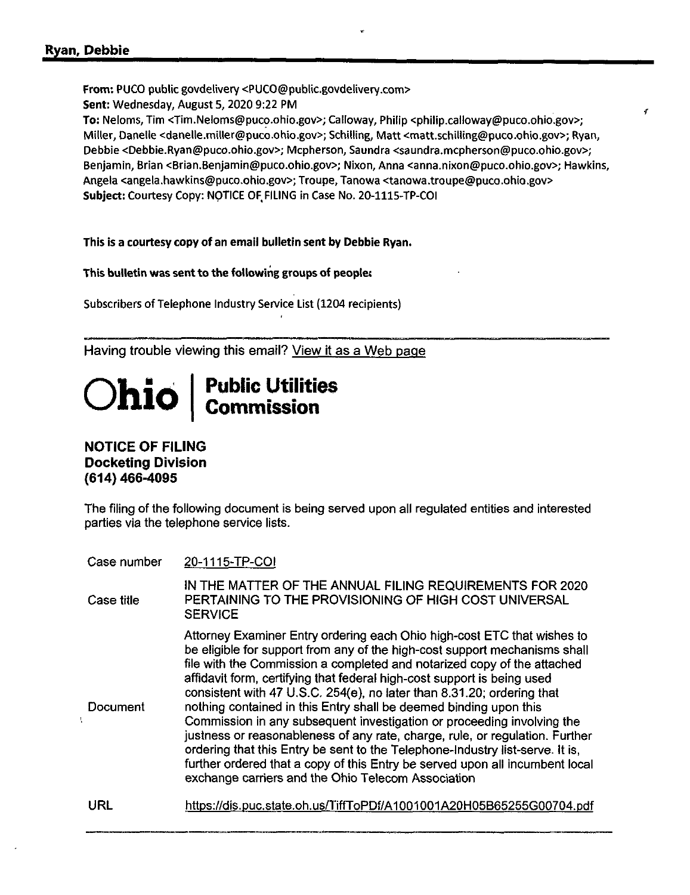From; PUCO public govdelivery <PUCO@public.govdelivery.com> Sent: Wednesday, August 5, 2020 9:22 PM

To: Neloms, Tim <Tim.Neloms@puco.ohio.gov>; Calloway, Philip <philip.calloway@puco.ohio.gov>; Miller, Oanelle <danelle.miller@puco.ohio.gov>; Schilling, Matt <matt.schilling@puco.ohio.gov>; Ryan, Debbie <Debble.Ryan@puco.ohlo.gov>; Mcpherson, Saundra <saundra.mcpherson@puco.ohio.gov>; Benjamin, Brian <Brian.Benjamin@puco.ohio.gov>; Nixon, Anna <anna.nixon@puco.ohio.gov>; Hawkins, Angela <angela.hawkins@puco.ohio.gov>; Troupe, Tanowa <tanowa.troupe@puco.ohlo.gov> Subject: Courtesy Copy: NOTICE OF, FILING in Case No. 20-1115-TP-COI

 $\mathbf{f}$ 

This is a courtesy copy of an email bulletin sent by Debbie Ryan.

This bulletin was sent to the following groups of people:

Subscribers of Telephone Industry Service List (1204 recipients)

Having trouble viewing this email? View it as a Web page

## **Ohio Public utilities Commission**

## NOTICE OF FILING Docketing Division (614) 466-4095

 $\mathbf{I}$ 

The filing of the following document is being served upon all regulated entities and interested parties via the telephone service lists.

| Case number | 20-1115-TP-COI |
|-------------|----------------|
|-------------|----------------|

| Case title | IN THE MATTER OF THE ANNUAL FILING REQUIREMENTS FOR 2020<br>PERTAINING TO THE PROVISIONING OF HIGH COST UNIVERSAL<br><b>SERVICE</b>                                                                                                                                                                                                                                                                                                                                                                                                                                                                                                                                                                                                                                                                                                         |
|------------|---------------------------------------------------------------------------------------------------------------------------------------------------------------------------------------------------------------------------------------------------------------------------------------------------------------------------------------------------------------------------------------------------------------------------------------------------------------------------------------------------------------------------------------------------------------------------------------------------------------------------------------------------------------------------------------------------------------------------------------------------------------------------------------------------------------------------------------------|
| Document   | Attorney Examiner Entry ordering each Ohio high-cost ETC that wishes to<br>be eligible for support from any of the high-cost support mechanisms shall<br>file with the Commission a completed and notarized copy of the attached<br>affidavit form, certifying that federal high-cost support is being used<br>consistent with 47 U.S.C. 254(e), no later than 8.31.20; ordering that<br>nothing contained in this Entry shall be deemed binding upon this<br>Commission in any subsequent investigation or proceeding involving the<br>justness or reasonableness of any rate, charge, rule, or regulation. Further<br>ordering that this Entry be sent to the Telephone-Industry list-serve. It is,<br>further ordered that a copy of this Entry be served upon all incumbent local<br>exchange carriers and the Ohio Telecom Association |
| URL        | https://dis.puc.state.oh.us/TiffToPDf/A1001001A20H05B65255G00704.pdf                                                                                                                                                                                                                                                                                                                                                                                                                                                                                                                                                                                                                                                                                                                                                                        |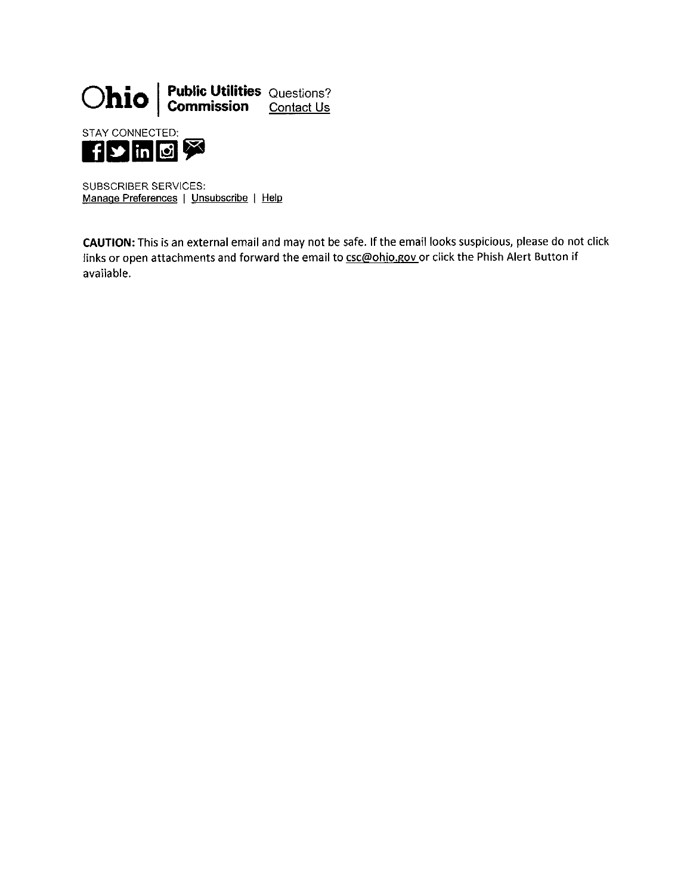

SUBSCRIBER SERVICES: Manage Preferences <sup>|</sup> Unsubscribe <sup>|</sup> Help

CAUTION: This is an external email and may not be safe. If the email looks suspicious, please do not click links or open attachments and forward the email to csc@ohio.gov or click the Phish Alert Button if available.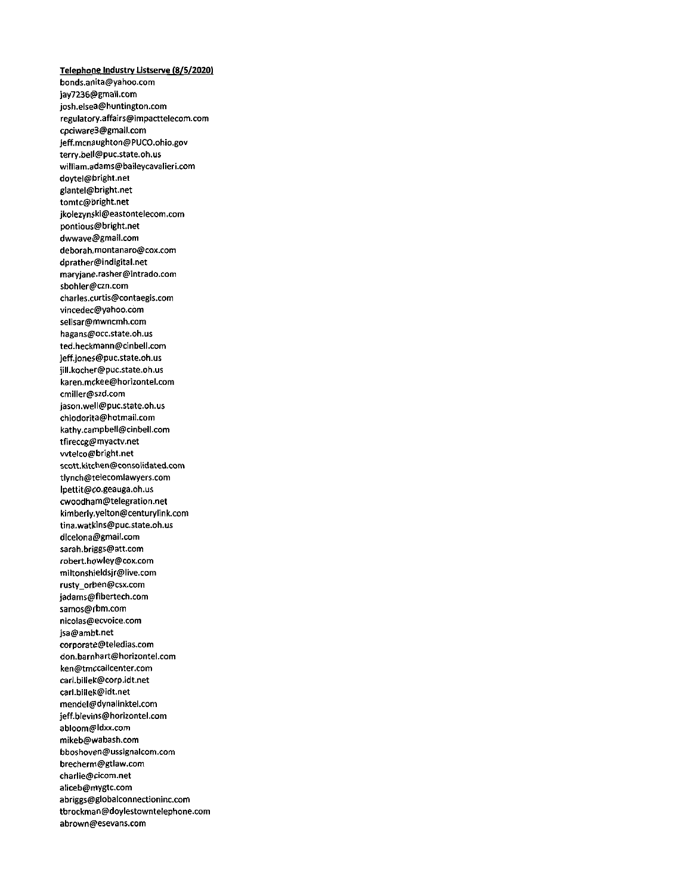Telephone Industry Listserve (8/5/2020) bonds.anita@yahoo.com jaY7236@gmail.com josh.elsea@huntington.com regulatory.affairs@impacttelecom.com cpciware3@gmail.com jeff.mcnaughton@PUCO.ohio.gov terry.bell@puc.state.oh.us william.adams@baileycavalieri.com doytel@bright.net giantel@bright.net tomtc@bright.net jkolezynski@eastontelecom.com pontious@bright.net dwwave@gmatl.com deborah,montanaro@cox.com dprather@indigital.net maryjane.rasher@intrado.com sbohler@czn.com charles.curtis@contaegis.com vincedec@yahoo.com selisar@mwncmh.com hagans@occ.state.oh.us ted.heckmann@cinbell.com jeff.jones@puc.state.oh.us jill.kocher@puc.state.oh.us karen.mckee@horizontel.com cmiller@szd.com jason.well@puc.state.oh.us chiodorita@hotmail.com kathy.campbell@cinbeil.com tfireccg@myactv.net wtetco@bright.net scott.kitchen@consolidated.com tlynch@telecomlawyers.com lpettit@co.geauga.oh.us cwoodham@telegration.net kimberly.yelton@centurylink.com tina.watkins@puc.state.oh.us dlcelona@gmail.com sarah.briggs@att.com robert.howley@cox.com miltonshieldsjr@live.com rusty\_orben@csx.com jadams@fibertech.com samos@rbm.com nicolas@ecvoice.com jsa@ambt.net corporate@teledias.com don.barnhart@horizontel.com ken@tmccallcenter.com carl.billek@corp.idt.net carl.billek@idt.net mendel@dynalinktel.com jeff.blevins@horizontel.com abloom@ldxx.com mikeb@wabash.com bboshoven@ussignalcom.com brecherm@gtlaw.com charlie@cicom.net aliceb@mygtc.com abriggs@globalconnectioninc.com tbrockman@doylestowntelephone.com abrown@esevans.com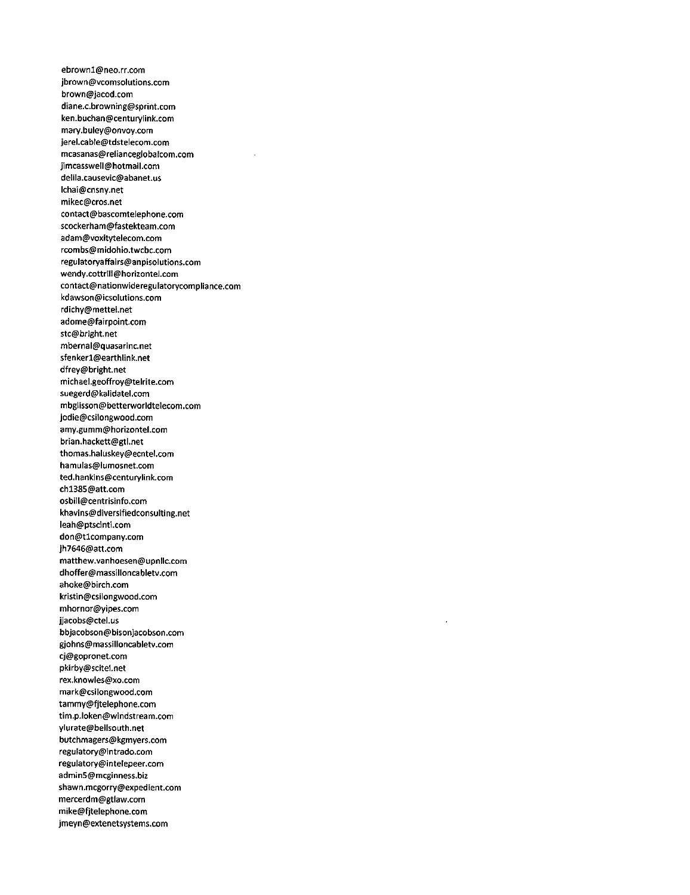ebrown1@neo.rr.com jbrown@vcomsolutions.com brown@jacod.com diane.c.browning@sprint.com ken.buchan@centurylink.com mary.buley@onvoy.com jerel.cable@tdstelecom.com mcasanas@relianceglobalcom.com jimcasswell@hotmail.com delila.causevic@abanet.us lchai@cnsny.net mikec@cros.net contact@bascomtelephone.com scockerham@fastekteam.com adam@voxitytelecom.com rcombs@midohio.twcbc.com regulatoryaffairs@anpisolutions.com wendy.cottrIli@horizontel.com contact@nationwidereguiatorycompiiance.com kdawson@icsoiutions.com rdichy@mettel.net adome@fairpoint.com stc@bright.net mbernai@quasarinc.net sfenkerl@earthiink.net dfrey@bright.net michael.geoffroy@teirite.com suegerd@kaiidatei.com mbglisson@betterworidtelecom.com jodie@csilongwood.com amy.gumm@horizontei.com brian.hackett@gtl.net thomas.haiuskey@ecntel.com hamulas@iumosnet.com ted.hankins@centuryiink.com chl385@att.com osbill@centrisinfo.com khavins@diversifiedconsuiting.net leah@ptscinti.com don@tlcompany.com jh7646@att.com matthew.vanhoesen@upnllc.com dhoffer@massiiioncabietv.com ahoke@birch.com kristin@csilongwood.com mhornor@yipes.com jjacobs@ctel.us bbjacobson@bisonjacobson.com gjohns@massiiioncabietv.com cj@gopronet.com pkirby@scitel.net rex.knowies@xo.com mark@csilongwood.com tammy@fjteiephone.com tim.p.ioken@windstream.com ylurate@beiisouth.net butchmagers@kgmyers.com regulatory@intrado.com regulatory@intelepeer.com admin5@mcginness.biz shawn.mcgorry@expedient.com mercerdm@gtiaw.com mike@fjteiephone.com jmeyn@extenetsystems.com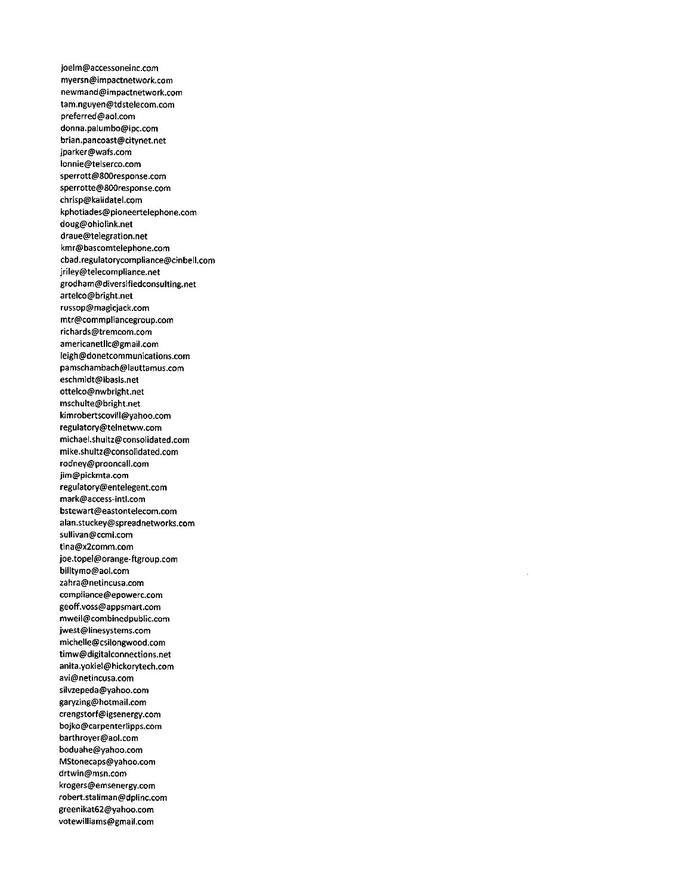joelm@accessoneinc.com myersn@impactnetwork.com newmand@impactnetwork.com tam.nguyen@tdstelecom.com preferred@aol.com donna.palumbo@ipc.com brian.pancoast@citynet.net jparker@wafs.com lonnie@telserco.com sperrott@800response.com sperrotte@800response.com chrisp@kalidatel.com kphotiades@pioneertelephone.com doug@ohiolink.net draue@telegration.net kmr@bascomteiephone.com cbad.regulatorycompliance@cinbell.com jriley@telecompliance.net grodham@diversifiedconsulting.net artelco@bright.net russop@magicjack.com mtr@commpliancegroup.com richards@tremcom.com americanetllc@gmaii.com leigh@donetcommunications.com pamschambach@lauttamus.com eschmidt@ibasis.net ottelco@nwbright.net mschulte@bright.net kimrobertscovili@yahoo.com regulatory@teinetww.com michael.shultz@consolidated.com mike.shult2@consolidated.com rodneY@prooncall.com jim@pickmta.com reguIatory@entelegent.com mark@access-intl.com bstewart@eastontelecom.com alan.stuckey@spreadnetworks.com suHivan@ccmi.com tina@x2comm.com joe.topel@orange-ftgroup.com billtymo@aol.com zahra@netincusa.com compliance@epowerc.com geoff.voss@appsmart.com mweii@combinedpubiic.com jwest@linesystems.com michelle@csilongwood.com timw@digitaiconnections.net anita.yokiei@hickorytech.com avi@netincusa.com silvzepeda@yahoo.com garyzing@hotmail.com crengstorf@igsenergy.com bojko@carpentertipps.com barthroyer@aol.com boduahe@yahoo.com MStonecaps@yahoo.com drtwin@msn.com krogers@emsenergy.com robert.stallman@dplinc.com greenikat62@yahoo.com votewilliams@gmail.com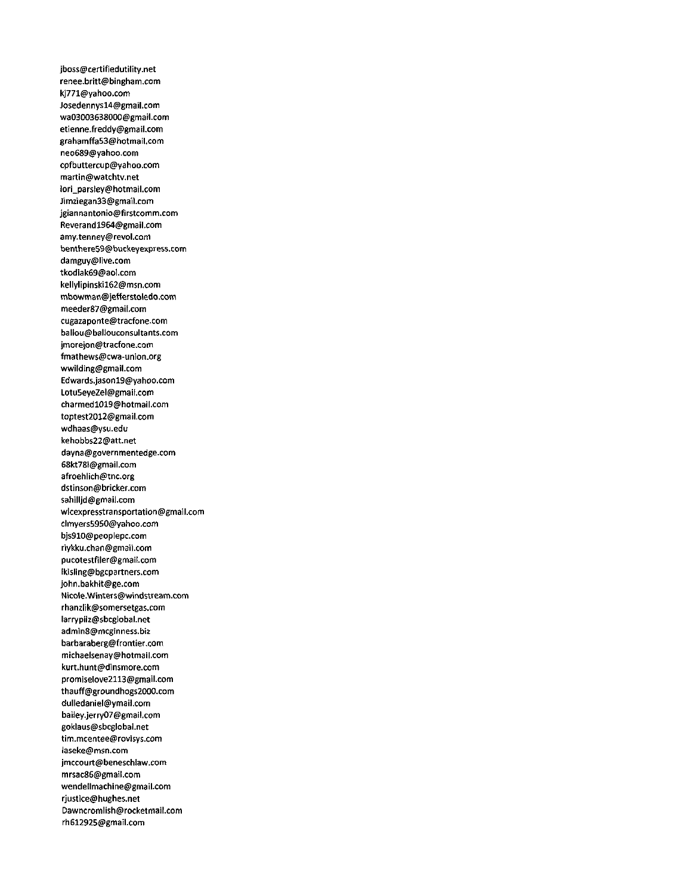jboss@certifiedutility.net renee.britt@bingham.com kj771@yahoo.com Josedennysl4@gmail.com wa03003638000@gmail.com etienne.freddy@gmail.com grahamffa53@hotmail.com neo689@yahoo.com cpfbuttercup@yahoo.com martin@watchtv.net lori\_parsley@hotmail.com Jimziegan33@gmail.com jgiannantonio@firstcomm.com Reverandl964@gmail.com amy.tenney@revol.com benthere59@buckeyexpress.com damguy@live.com tkodiak69@aoi.com keliylipinskil62@msn.com mbowman@jefferstoledo.com meeder87@gmail.com cugazaponte@tracfone.com ballou@ballouconsultants.com jmorejon@tracfone.com fmathews@cwa-union.org wwilding@gmail.com Edwards.jasonl9@yahoo.com Lotu5eyeZel@gmaii.com charmedl019@hotmail.com toptest2012@gmail.com wdhaas@ysu.edu kehobbs22@att.net dayna@governmentedge.com 68kt78t@gmaii.com afroehiich@tnc.org dstinson@bricker.com sahilljd@gmaii.com wlcexpresstransportation@gmail.com clmyers5950@yahoo.com bjs910@peopiepc.com riykku.chan@gmail.com pucotestfiler@gmail.com lkisling@bgcpartners.com john.bakhit@ge.com Nicole.Winters@windstream.com rhanzlik@somersetgas.com larrypiiz@sbcgiobal.net admin8@mcginness.biz barbaraberg@frontier.com michaelsenay@hotmaii.com kurt.hunt@dinsmore.com promiselove2113@gmail.com thauff@groundhogs2000.com duliedaniel@ymail.com bailey.jerry07@gmail.com goklaus@sbcglobal.net tim.mcentee@rovisys.com laseke@msn.com jmccourt@beneschiaw.com mrsac86@gmail.com wendellmachine@gmail.com rjustice@hughes.net Dawncromlish@rocketmail.com rh612925@gmail.com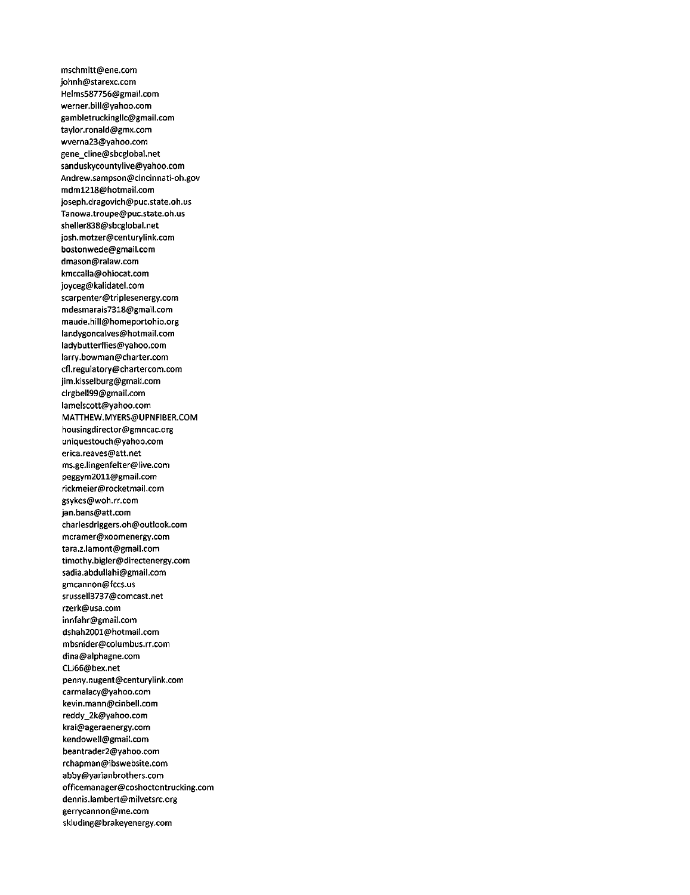mschmitt@ene.com johnh@starexc.com Helms587756@gmail.com werner.bill@yahoo.com gambletruckingllc@gmail.com taylor.ronald@gmx.com wverna23@yahoo.com gene\_cline@sbcglobal.net sanduskycountylive@yahoo.com Andrew.sampson@cincinnati-oh.gov mdml218@hotmail.com joseph.dragovich@puc.state.oh.us Tanowa.troupe@puc.state.oh.us sheller838@sbcglobal.net josh.mot2er@centurylink.com bostonwede@gmail.com dmason@ralaw.com kmccalla@ohiocat.com joyceg@kalidatel.com scarpenter@triplesenergy.com mdesmarais7318@gmail.com maude.hill@homeportohio.org landygoncalves@hotmail.com ladybutterflies@yahoo.com larry.bowman@charter.com cfl.regulatory@chartercom.com jim.kisselburg@gmail.com clrgbell99@gmail.com lamelscott@yahoo.com MATTHEW.MYERS@UPNFIBER.COM housingdirector@gmncac.org uniquestouch@yahoo.com erica.reaves@att.net ms.ge.lingenfelter@live.com peggym2011@gmail.com rickmeier@rocketmail.com gsykes@woh.rr.com jan.bans@att.com charlesdriggers.oh@outlook.com mcramer@xoomenergy.com tara.z.lamont@gmaii.com timothy.bigler@directenergy.com sadia.abdullahi@gmail.com gmcannon@fccs.us srussell3737@comcast.net rzerk@usa.com innfahr@gmail.com dshah2001@hotmail.com mbsnider@columbus.rr.com dina@alphagne.com CL166@bex.net penny.nugent@centuryiink.com carmalacy@yahoo.com kevin.mann@dnbell.com reddy\_2k@yahoo.com krai@ageraenergy.com kendoweII@gmail.com beantrader2@yahoo.com rchapman@ibswebsite.com abby@yarianbrothers.com officemanager@coshoctontrucking.com dennis.lambert@milvetsrc.org gerrycannon@me.com skluding@brakeyenergy.com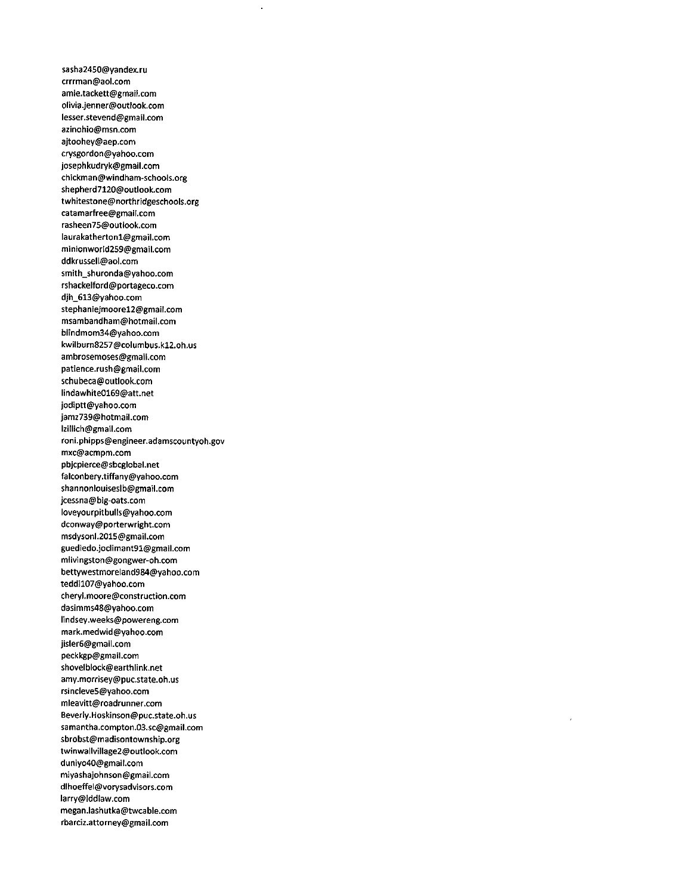sasha2450@yandex.ru crrrman@aol.com amie.tackett@gmail.com olivia.Jenner@outlook.com lesser.stevend@gmail.com azinohio@msn.com ajtoohey@aep.com crysgordon@yahoo.com josephkudryk@gmaii.com chickman@windham-schools.org shepherd7120@outiook.com twhitestone@northridgeschoois.org catamarfree@gmail.com rasheen75@outlook.com laurakathertonl@gmaii.com minionworld259@gmaii.com ddkrusseil@aol.com smith\_shuronda@yahoo.com rshackeiford@portageco.com djh\_613@yahoo.com stephaniejmoorel2@gmaii.com msambandham@hotmail.com biindmom34@yahoo.com kwiiburn8257@columbus.kl2.oh.us ambrosemoses@gmail.com patience.rush@gmaii.com schubeca@outiook.com iindawhite0169@att.net jodiptt@yahoo.com jamz739@hotmaii.com iziliich@gmaii.com roni.phipps@engineer.adamscountyoh.gov mxc@acmpm.com pbjcpierce@sbcgiobai.net faiconbery.tiffany@yahoo.com shannoniouisesib@gmaii.com jcessna@big-oats.com loveyourpitbuils@yahoo.com dconway@porterwright.com msdysoni.2015@gmaii.com guediedo.jociimant91@gmaii.com mlivingston@gongwer-oh.com bettywestmoreland984@yahoo.com teddil07@yahoo.com cheryi.moore@construction.com dasimms48@yahoo.com iindsey.weeks@powereng.com mark.medwid@yahoo.com jisier6@gmail.com peckkgp@gmail.com shoveiblock@earthlink.net amy.morrisey@puc.state.oh.us rsincieve5@yahoo.com mieavitt@roadrunner.com Beverly.Hoskinson@puc.state.oh.us samantha.compton.03.sc@gmaii.com sbrobst@madisontownship.org twinwallvillage2@outlook.com duniyo40@gmail.com miyashajohnson@gmail.com dihoeffel@vorysadvisors.com iarry@lddiaw.com megan.iashutka@twcabie.com rbarciz.attorney@gmaii.com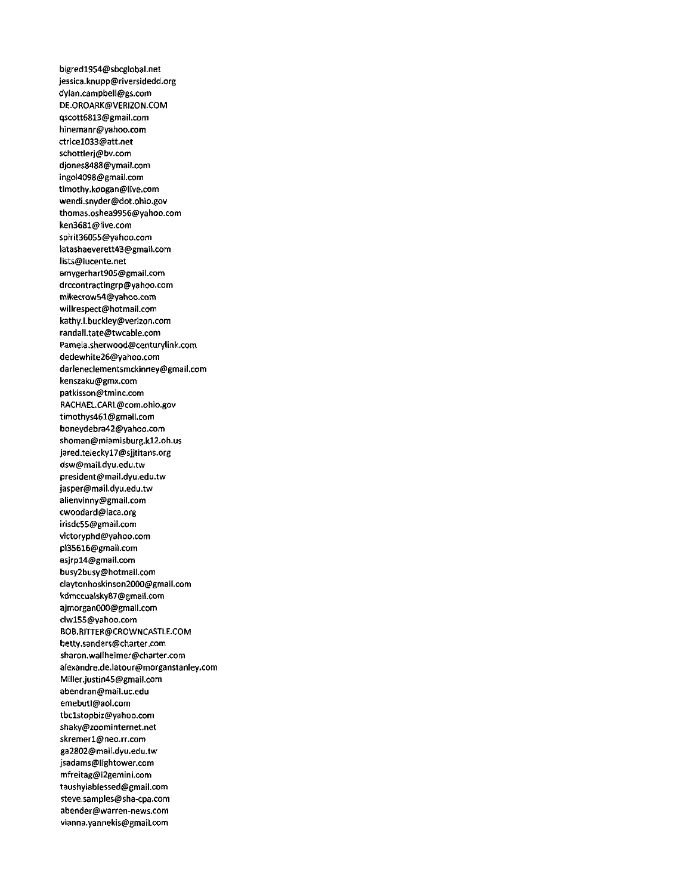bigredl954@sbcglobal-net jessica.knupp@riversidedd.org dylan.campbell@gs.com DE.OROARK@VERIZON.COM qscott68l3@gmail.com hinemanr@yahoo.com ctricel033@att.net schottlerj@bv.com djones8488@ymail.com ingol4098@gmail.com timothy.koogan@live.com wendi.snyder@dot.ohio.gov thomas.oshea9956@yahoo.com ken3681@live.com spirit36055@yahoo.com iatashaeverett43@gmail.com lists@lucente.net amygerhart905@gmail.com drccontractingrp@yahoo.com mikecrow54@yahoo.com willrespect@hotmail.com kathy.l.buckley@verizon.com randall.tate@twcable.com Pamela.sherwood@centurylink.com dedewhite26@yahoo.com darleneclementsmckinney@gmail.com kenszaku@gmx.com patkisson@tminc.com RACHAEL.CARL@com.ohio.gov timothys461@gmail.com boneydebra42@yahoo.com shoman@miamisburg.kl2.oh.us Jared.teleckyl7@sjjtitans.org dsw@mail.dyu.edu.tw president@mail.dyu.edu.tw jasper@mail.dyu.edu.tw alienvinny@gmail.com cwoodard@laca.org irisdc55@gmail.com victoryphd@yahoo.com pl35616@gmaii.com asjrp14@gmail.com busy2busy@hotmaii.com claytonhoskinson2000@gmail.com kdmccuaisky87@gmail.com ajmorganOOO@gmail.com clwl55@yahoo.com BOB.RITTER@CROWNCASTLE.COM betty.sanders@charter.com sharon.wallheimer@charter.com aIexandre.de.latour@morganstanley.com Miller.justin45@gmail.com abendran@mail.uc.edu emebutl@aol.com tbclstopbiz@yahoo.com shaky@zoominternet.net skremerl@neo.rr.com ga2802@mail.dyu.edu.tw jsadams@lightower.com mfreitag@i2gemini.com taushyiablessed@gmail.com steve.samples@sha-cpa.com abender@warren-news.com vianna.yannekis@gmail.com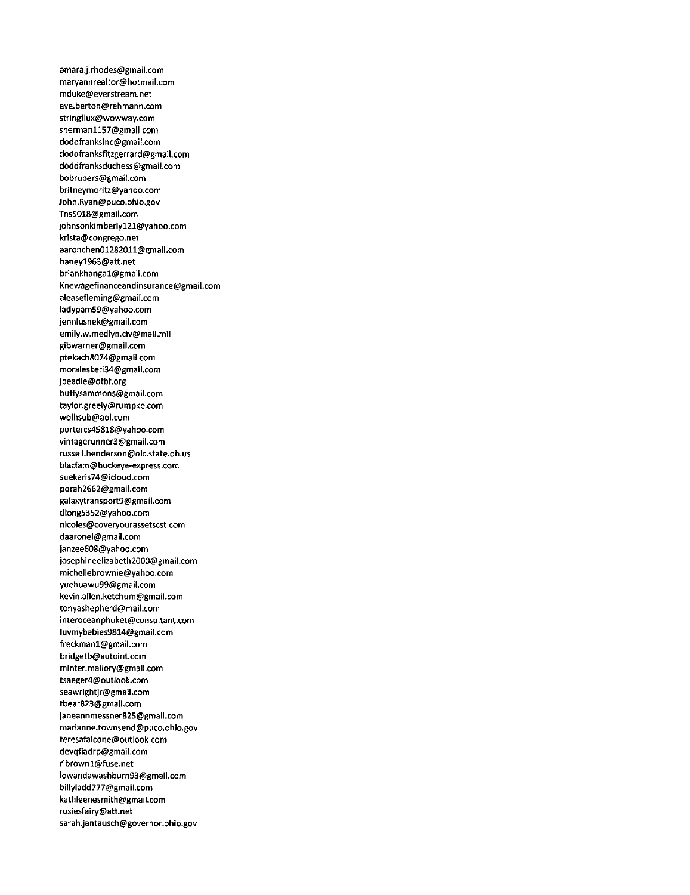amara.j.rhodes@gmail.com maryannrealtor@hotmail.com mduke@everstream.net eve.berton@rehmann.com stringflux@wowway.com shermanll57@gmail.com doddfranksinc@gmail.com doddfranksfitzgerrard@gmail.com doddfranksduchess@gmail.com bobrupers@gmail.com britneymoritz@yahoo.com John.Ryan@puco.ohio.gov Tns5018@gmail.com johnsonkimberlyl21@yahoo.com krista@congrego.net aaronchen01282011@gmail.com haneyl963@att.net briankhangal@gmaii.com Knewagefinanceandinsurance@gmail.com aleasefleming@gmail.com ladypam59@yahoo.com jennlusnek@gmail.com emily.w.medlyn.civ@mail.mil gibwarner@gmail.com ptekach8074@gmail.com moraleskeri34@gmail.com jbeadle@ofbf.org buffysammons@gmail.com taylor.greely@rumpke.com woihsub@aol.com portercs45818@yahoo.com vintagerunner3@gmail.com russell.henderson@olc.state.oh.us blazfam@buckeye-express.com 5uekaris74@icloud.com porah2662@gmail.com galaxytransport9@gmail.com dlong5352@yahoo.com nicoles@coveryourassetscst.com daaronel@gmail.com janzee608@yahoo.com josephineelizabeth2000@gmail.com michellebrownie@yahoo.com yuehuawu99@gmail.com kevin.allen.ketchum@gmail.com tonyashepherd@mail.com interoceanphuket@consultant.com Iuvmybabies9814@gmaii.com freckmanl@gmail.com bridgetb@autoint.com minter.mallory@gmail.com tsaeger4@outlook.com seawrightjr@gmail.com tbear823@gmail.com janeannmessner825@gmaii.com marianne.townsend@puco.ohio.gov teresafalcone@outlook.com devqfiadrp@gmail.com ribrownl@fuse.net lowandawashburn93@gmail.com billyladd777@gmail.com kathleenesmith@gmail.com rosiesfairy@att.net sarah.jantausch@governor.ohio.gov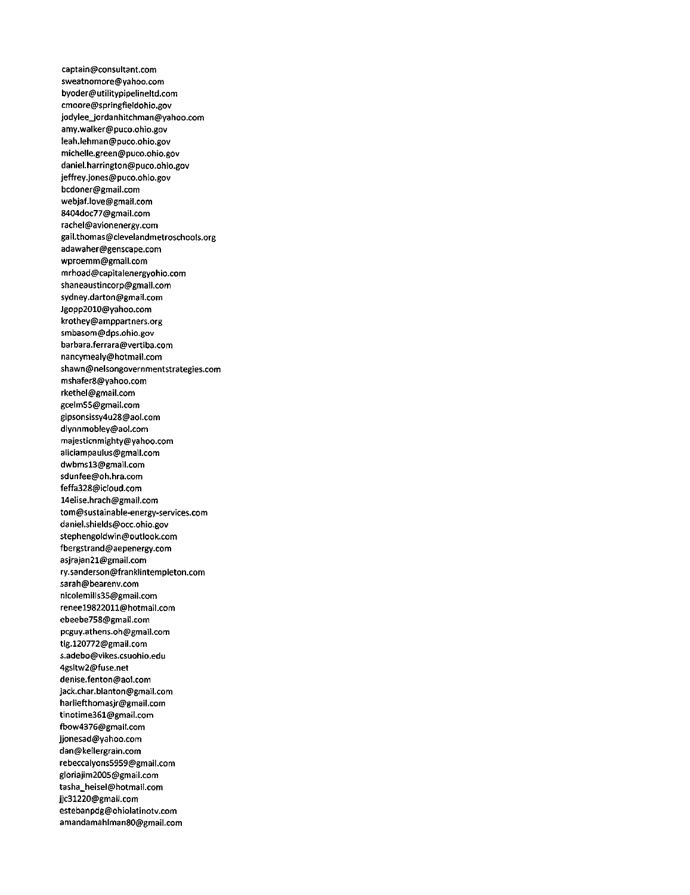captain@consultant.com sweatnomore@yahoo.com byoder@utilitypipelineltd.com cmoore@sprtngfieIdohio.gov jodylee\_jordanhitchman@yahoo.com amy.walker@puco.ohio.gov leah.lehman@puco.ohio.gov michelle.green@puco.ohio.gov daniel.harrington@puco.ohio.gov jeffrey.jones@puco.ohio.gov bcdoner@gmaii.com webjaf.love@gmail.com 8404doc77@gmail.com rachel@avionenergy.com gail.thomas@clevelandmetroschools.org adawaher@genscape.com wproemm@gmail.com mrhoad@capitalenergyohio.com shaneaustincorp@gmail.com sydney.darton@gmatl.com Jgopp2010@yahoo.com krothey@amppartners.org smbasom@dps.ohio.gov barbara.ferrara@vertiba.com nancymealy@hotmail.com shawn@nelsongovernmentstrategies.com mshafer8@yahoo.com rkethel@gmail.com gcelm55@gmai!.com gipsonsissy4u28@aol.com dlynnmobley@aoi.com majesticnmighty@yahoo.com aliciampauius@gmail.com dwbmsl3@gmail.com sdunfee@oh.hra.com feffa328@icloud.com 14elise.hrach@gmail.com tom@sustainable-energy-services.com daniel.shields@occ.ohio.gov stephengoidwin@outlook.com fbergstrand@aepenergy.com asjrajan21@gmaii.com ry.sanderson@franklintempieton.com sarah@bearenv.com nicolemilis35@gmail.com reneel9822011@hotmaii.com ebeebe758@gmail.com pcguy.athens.oh@gmail.com tig.120772@gmail.com s.adebo@vikes.csuohio.edu 4gsitw2@fuse.net denise.fenton@aol.com jack.char.blanton@gmail.com hariiefthomasjr@gmail.com tinotime361@gmaii.com fbow4376@gmail.com jjonesad@yahoo.com dan@keilergrain.com rebeccaiyons5959@gmaii.com gioriajim2005@gmaii.com tasha\_heisel@hotmail.com jjc31220@gmail.com estebanpdg@ohiolatinotv.com amandamahlman80@gmaii.com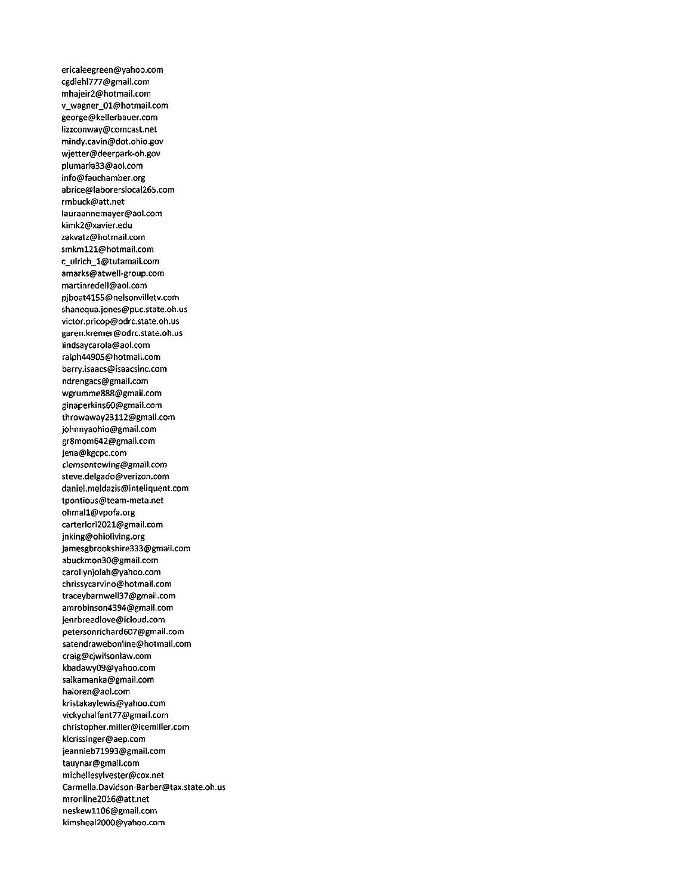ericaleegreen@yahoo.com cgdiehl777@gmail.com mhajeir2@hotmail.com v\_wagner\_01@hotmail.com george@kellerbauer.com liz2conway@comcast.net mindy.cavin@dot.ohio.gov wjetter@deerpark-oh.gov plumaria33@aol.com info@fauchamber.org abrice@laborersiocal265.com rmbuck@att.net lauraannemayer@aol.com kimk2@xavier.edu zakvatz@hotmail.com smkml21@hotmail.com c\_ulrich\_l@tutamail.com amarks@atwell-group.com martinredeil@aol.com pjboat4155@nelsonvilletv.com shanequa.jones@puc.state.oh.us victor.pricop@odrc.state.oh.us garen.kremer@odrc.state.oh.us lindsaycarola@aol.com ralph44905@hotmail.com barry.isaacs@isaacsinc.com ndrengacs@gmail.com wgrumme888@gmaii.com ginaperkins60@gmaii.com throwaway23112@gmaii.com johnnyaohio@gmaii.com gr8mom642@gmail.com jena@kgcpc.com c)emsontowing@gmai).com steve.delgado@verizon.com daniel.meidazis@inteliquent.com tpontious@team-meta.net ohmail@vpofa.org carterlori2021@gmail.com jnking@ohioiiving.org jamesgbrookshire333@gmail.com abuckmon30@gmail.com carollynjolah@yahoo.com chrissycarvino@hotmail.com traceybarnwell37@gmaii.com amrobinson4394@gmail.com jenrbreediove@icloud.com petersonrichard607@gmail.com satendrawebonline@hotmaii.com craig@cjwilsonlaw.com kbadawy09@yahoo.com salkamanka@gmaii.com haloren@aol.com krlstakaylewis@yahoo.com vickychalfant77@gmail.com christopher.miller@icemilier.com klcrissinger@aep.com jeannieb71993@gmail.com tauynar@gmaii.com micheilesylvester@cox.net Carmella.Davidson-Barber@tax.state.oh.us mronline2016@att.net neskewll06@gmail.com ktmsheal2000@yahoo.com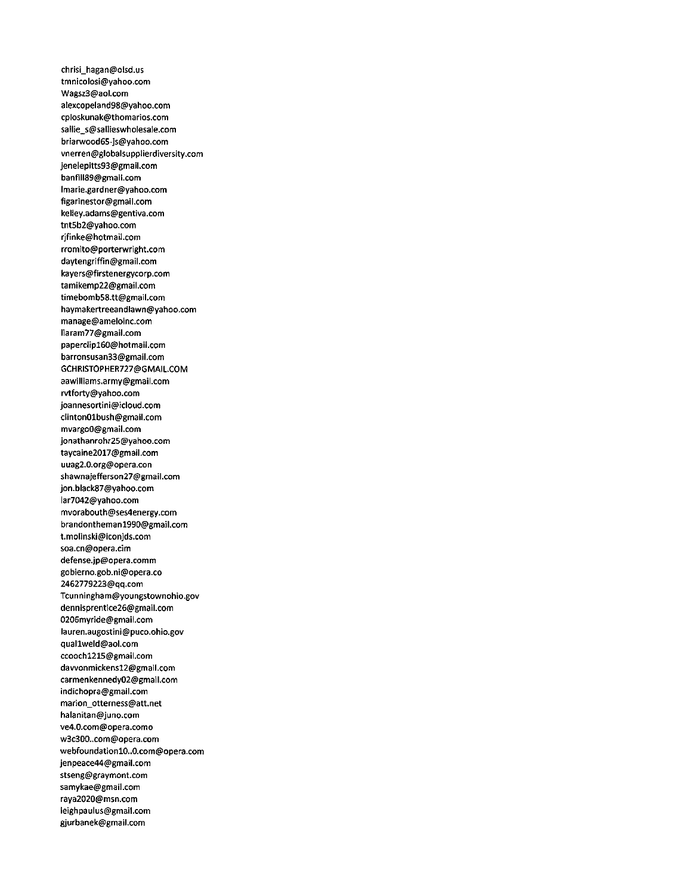chrisi\_hagan@olsd.us tmnicolosi@yahoo.com Wagsz3@aol.com alexcopeland98@yahoo.com cploskunak@thomarios.com sallie\_s@sallieswholesale.com briarwood65-js@yahoo.com vnerren@globalsupplierdiversity.com Jeneiepitts93@gmail.com banfill89@gmail.com lmarie.gardner@yahoo.com figarinestor@gmail.com keliey.adams@gentiva.com tnt5b2@yahoo.com rjfinke@hotmail.com rromito@porterwright.com daytengriffin@gmail.com kayers@firstenergycorp.com tamikemp22@gmaii.com timebomb58.tt@gmail.com haymakertreeandlawn@yahoo.com manage@ameloinc.com Iiaram77@gmail.com paperclipl60@hotmail.com barronsusan33@gmail.com GCHRISTOPHER727@GMAlL.COM aawilliams.army@gmaii.com rvtforty@yahoo.com joannesortini@icloud.com clinton01bush@gmail.com mvargoO@gmail.com Jonathanrohr25@yahoo.com taycaine2017@gmail.com uuag2.0.org@opera.con shawnaiefferson27@gmail.com jon.black87@yahoo.com lar7042@yahoo.com mvorabouth@ses4energy.com brandonthemanl990@gmail.com t.molinski@iconJds.com soa.cn@opera.cim defense.jp@opera.comm gobierno.gob.ni@opera.co 2462779223@qq.com Tcunningham@youngstownohio.gov dennisprentice26@gmail.com 0206myride@gmail.com lauren.augostini@puco.ohio.gov quallweld@aol.com ccoochl215@gmaii.com dawonmickensl2@gmail.com carmenkennedy02@gmail.com indichopra@gmaii.com marion\_otterness@att.net halanitan@Juno.com ve4.0.com@opera.como w3c300..com@opera.com webfoundationl0..0.com@opera.com jenpeace44@gmail.com stseng@graymont.com samykae@gmail.com raya2020@msn.com ieighpauius@gmail.com gjurbanek@gmail.com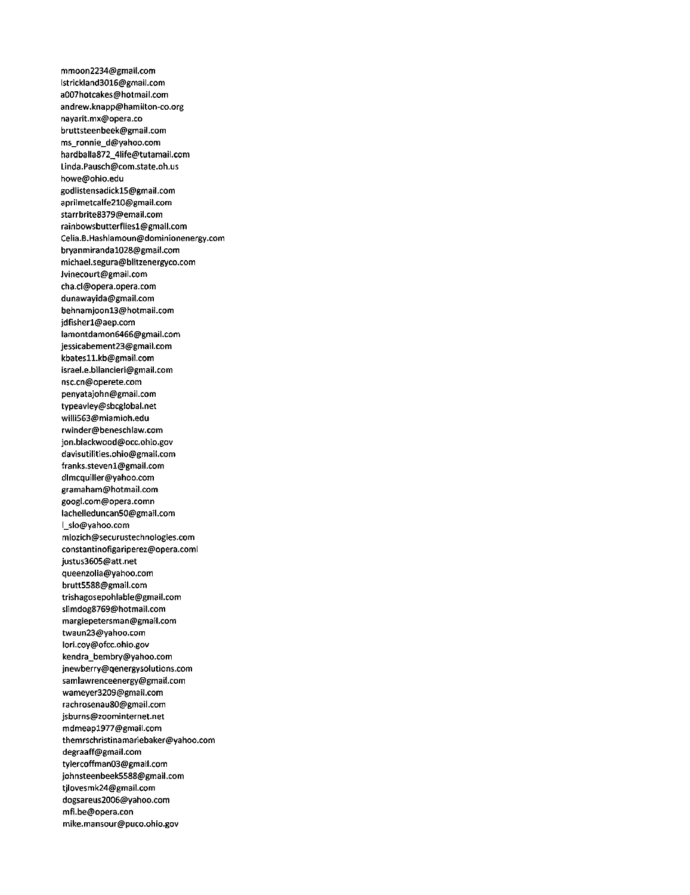mmoon2234@gmail.com lstrickland3016@gmail.com a007hotcakes@hotmail.com andrew.knapp@hamilton-co.org nayarit.mx@opera.co bruttsteenbeek@gmail.com ms\_ronnie\_d@yahoo.com hardballa872\_4iife@tutamail.com Linda.Pausch@com.state.oh.us howe@ohio.edu godlistensadickl5@gmail.com aprilmetcalfe210@gmail.com starrbrite8379@emaii.com rainbowsbutterfliesl@gmail.com Celia.B.Hashlamoun@dominionenergy.com brvanmirandal028@gmail.com michael.segura@blitzenergyco.com Jvinecourt@gmail.com cha.cl@opera.opera.com dunawayida@gmail.com behnamjoonl3@hotmail.com jdfisherl@aep.com lamontdamon6466@gmail.com jessicabement23@gmail.com kbatesll.kb@gmail.com israel.e.biiancieri@gmail.com nsc.cn@operete.com penyatajohn@gmail.com typeavley@sbcglobal.net willi563@miamioh.edu rwinder@beneschlaw.com jon.blackwood@occ.ohio.gov davisutilities.ohio@gmail.com franks.stevenl@gmail.com dlmcquiller@yahoo.com gramaham@hotmail.com googl.com@opera.comn Iachelleduncan50@gmaii.com l\_slo@yahoo.com mlozich@securustechnologies.com constantinofigariperez@opera.coml justus3605@att.net queenzolia@yahoo.com brutt5588@gmail.com trishagosepohlable@gmail.com slimdog8769@hotmail.com margiepetersman@gmail.com twaun23@yahoo.com lori.coy@ofcc.ohio.gov kendra\_bembry@yahoo.com jnewberry@qenergysolutions.com samlawrenceenergy@gmaii.com wameyer3209@gmail.com rachrosenau80@gmail.com jsburns@zoominternet.net mdmeapl977@gmail.com themrschristinamariebaker@yahoo.com degraaff@gmail.com tylercoffman03@gmail.com johnsteenbeek5588@gmail.com tjiovesmk24@gmail.com dogsareus2006@yahoo.com mfi.be@opera.con mike.mansour@puco.ohio.gov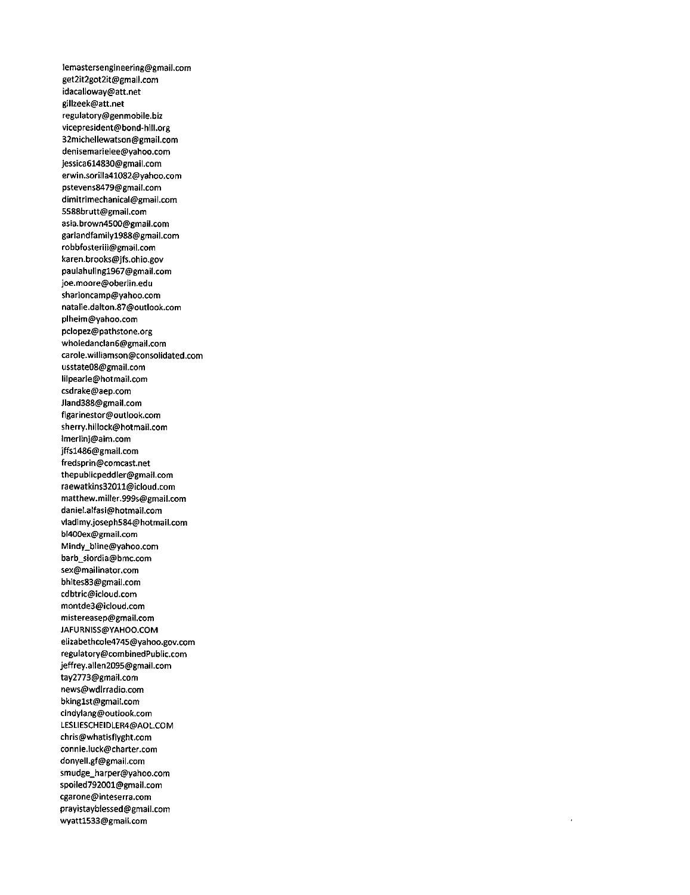lemastersengineering@gmail.com get2it2got2it@gmail.com idacalloway@att.net gillzeek@att.net regulatory@genmobile.biz vicepresident@bond-hill.org 32michellewatson@gmail.com denisemarieiee@yahoo.com jessica614830@gmaii.com erwin.5oriila41082@yahoo.com pstevens8479@gmail.com dimitrimechanical@gmail.com 5588brutt@gmaii.com asia.brown4500@gmail.com garlandfamiiyl988@gmaii.com robbfosteriii@gmaii.com karen.brooks@jfs.ohio.gov pauiahulingl967@gmail.com joe.moore@oberlin.edu sharioncamp@yahoo.com natalie.dalton.87@outlook.com plheim@yahoo.com pclopez@pathstone.org wholedanclan6@gmail.com carole.wiliiamson@consoiidated.com usstate08@gmail.com lilpearle@hotmail.com csdrake@aep.com Jland388@gmail.com figarinestor@outlook.com sherry.hillock@hotmail.com lmerlinj@aim.com jffsl486@gmail.com fredsprin@comcast.net thepubiicpeddier@gmail.com raewatkins32011@icloud.com matthew.miller.999s@gmail.com daniel.alfasi@hotmail.com vladimy.joseph584@hotmail.com bl400ex@gmail.com Mindy\_bline@yahoo.com barb\_siordia@bmc.com sex@maiiinator.com bhites83@gmail.com cdbtric@icioud.com montde3@icloud.com mistereasep@gmail.com JAFURN1SS@YAH00.COM elizabethcole4745@yahoo.gov.com regulatory@combinedPublic.com jeffrey.allen2095@gmail.com tay2773@gmail.com news@wdlrradio.com bkinglst@gmail.com cindylang@outlook.com LESLIESCHEIDLER4@AOL.COM chris@whatisflyght.com connie.luck@charter.com donyell.gf@gmail.com smudge\_harper@yahoo.com spoiled792001@gmail.com cgarone@inteserra.com prayistayblessed@gmaii.com wyattl533@gmail.com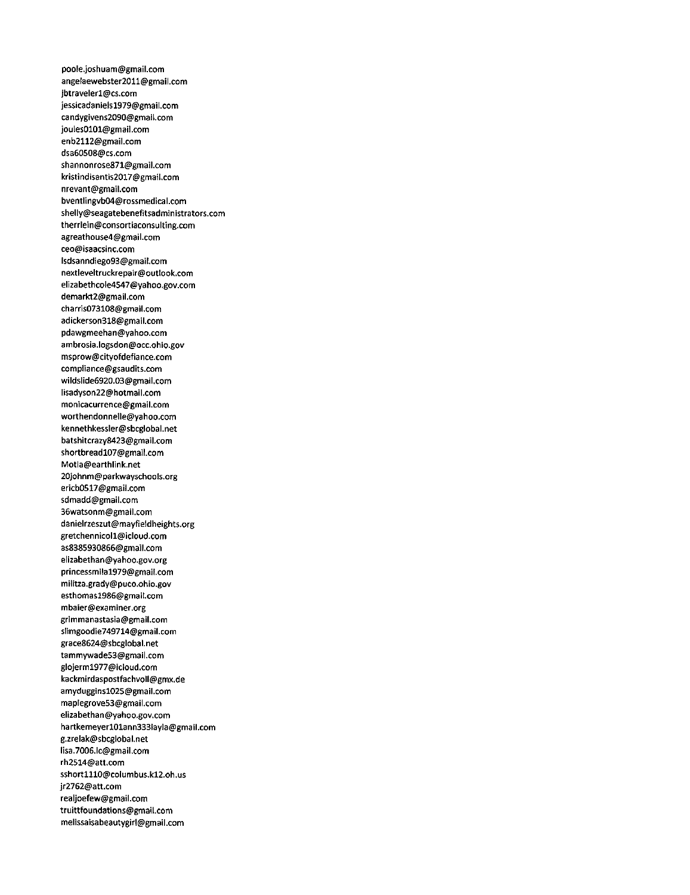poole.joshuam@gmail.com angelaewebster2011@gmail.com Jbtravelerl@cs.com jessicadanieisl979@gmail.com candygivens2090@gmail.com joules0101@gmail.com enb2112@gmail.com dsa60508@cs.com shannonrose871@gmail.com kristindisantis2017@gmail.com nrevant@gmail.com bventlingvb04@rossmedical.com shelly@seagatebenefitsadministrators.com therrlein@consortiaconsulting.com agreathouse4@gmail.com ceo@isaacsinc.com lsdsanndiego93@gmail.com nextleveltruckrepair@outlook.com elizabethcole4547@yahoo.gov.com demarkt2@gmail.com charris073108@gmail.com adickerson318@gmail.com pdawgmeehan@yahoo.com ambrosia.logsdon@occ.ohio.gov msprow@cityofdefiance.com compliance@gsaudits.com wildslide6920.03@gmail.com lisadyson22@hotmail.com monicacurrence@gmail.com worthendonnelle@yahoo.com kennethkessler@sbcglobal.net batshitcrazy8423@gmail.com shortbreadl07@gmail.com Motla@earthlink.net 20johnm@parkwayschools.org ericb0517@gmail.com sdmadd@gmail.com 36watsonm@gmail.com danieirzeszut@mayfieldheights.org gretchennicoll@icloud.com as8385930866@gmail.com elizabethan@yahoo.gov.org princessmilal979@gmail.com militza.grady@puco.ohio.gov esthomasl986@gmail.com mbaier@examiner.org grimmanastasia@gmail.com slimgoodie749714@gmail.com grace8624@sbcglobal.net tammywade53@gmail.com glojerml977@icloud.com kackmirdaspostfachvoll@gmx.de amydugginsl025@gmail.com maplegrove53@gmail.com elizabethan@yahoo.gov.com hartkemeyerl01ann333layla@gmail.com g.zrelak@sbcglobal.net lisa.7006.lc@gmail.com rh2514@att.com sshort1110@columbus.k12.oh.us jr2762@att.com realjoefew@gmail.com truittfoundations@gmail.com melissaisabeautygirl@gmail.com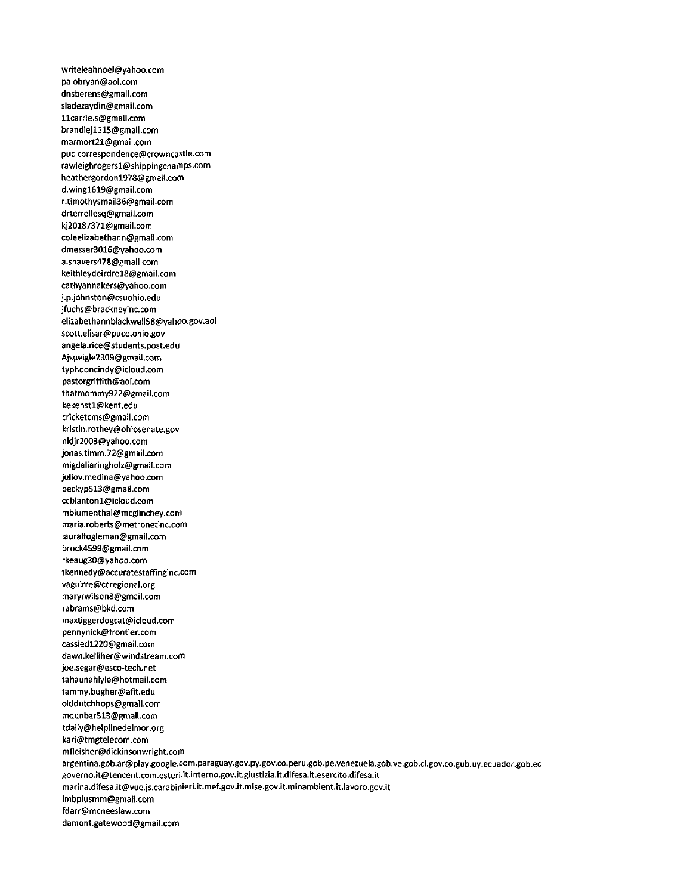writeleahnoel@yahoo.com palobryan@aol.com dnsberens@gmail.com sladezaydin@gmail.com llcarrle.s@gmail.com brandiejlll5@gmail.com marmort21@gmail.com puc.correspondence@crowncastle.com rawleighrogersl@shippingchamps.com heathergordon1978@gmail.com d.wingl619@gmail.com r.timothysmail36@gmail.com drterrellesq@gmail.com kj20187371@gmaii.com coleelizabethann@gmail.com dmesser3016@yahoo.com a.shavers478@gmail.com keithleydeirdrel8@gmail.com cathyannakers@yahoo.com j.p.johnston@csuohio.edu jfuchs@brackneyinc.com elizabethannbiackweli58@yahoo.gov.aol scott.elisar@puco.ohio.gov angela.rice@students.post.edu Ajspeigle2309@gmail.com typhooncindy@icloud.com pastorgriffith@aol.com thatmommy922@gmail.com kekenstl@kent.edu cricketcms@gmail.com kristin.rothey@ohiosenate.gov nldjr2003@yahoo.com jonas.timm.72@gmail.com migdaliaringholz@gmail.com juliov.medina@yahoo.com beckyp513@gmail.com ccblantonl@icloud.com mbiumenthal@mcglinchey.coni maria.roberts@metronetinc.com lauralfogleman@gmail.com brock4599@gmail.com rkeaug30@yahoo.com tkennedy@accuratestaffinginc,com vaguirre@ccregional.org maryrwilson8@gmail.com rabrams@bkd.com maxtiggerdogcat@icloud.com pennynick@frontier.com cassiedl220@gmail.com dawn.kelliher@windstream.com joe.segar@esco-tech.net tahaunahlyle@hotmail.com tammy.bugher@afit.edu olddutchhops@gmail.com mdunbar513@gmail.com tdaily@helplinedelmor.org kari@tmgtelecom.com mfleisher@dickinsonwright.com argentina.gob.ar@play.google.com.paraguay.gov.py.gov.co.peru.gob.pe.venezuela.gob.ve.gob.cl.gov.co.gub.uy.ecuador.gob.ec governo.it@tencent.com.esteri.it.interno.gov.it.giustizia.it.difesa.it.esercito.difesa.it marina.difesa.it@vue.js.carabinieri.it.mef.gov.it.mise.gov.it.minambient.it.lavoro.gov.it lmbplusmm@gmall.com fdarr@mcneeslaw.com damont.gatewood@gmail.com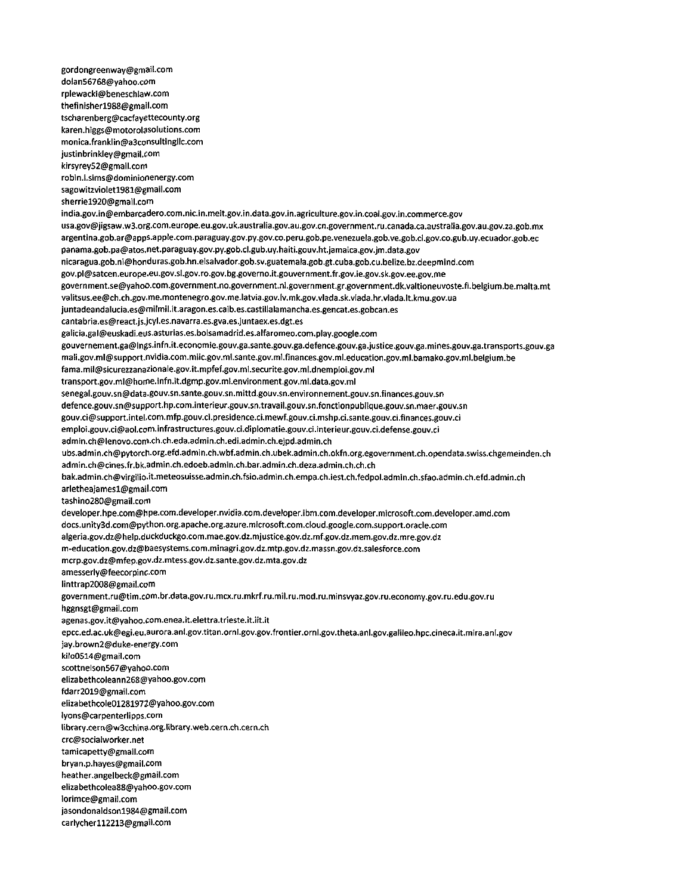gordongreenway@gmail.com dolan56768@yahoo.com rplewacki@beneschlaw.com thefinisherl988@gmail.com tscharenberg@cacfayettecounty.org karen.higgs@motorolasolutions.com monica.franklin@a3consultingllc.com justinbrinkley@gmail.com kirsyrey52@gmail.com robin.l.sims@dominionenergy.com sagowit2violetl981@gmail.com sherriel920@gmail.com india.gov.in@embarcadero.com.nic.in.meit.gov.in.data.gov.in.agriculture.gov.in.coal.gov.in.commerce.gov usa.gov@jigsaw.w3.org.com.europe.eu.gov.uk.australia.gov.au.gov.cn.government.ru.canada.ca.australia.gov.au.gov.za.gob.mx argentina.gob.ar@apps.apple.com.paraguay.gov.py.gov.co.peru.gob.pe.venezuela.gob.ve.gob.cl.gov.co.gub.uy.ecuador.gob.ee panama.gob.pa@atos.net.paraguay.gov.py.gob.cl.gub.uy.haiti.gouv.ht.jamaica.gov.jm.data.gov nic3ragua.gob.ni@honduras.gob.hn.eisalvador.gob.sv.guatemala.gob.gt.cuba.gob.cu.belize.bz.deepmind.com gov.pl@satcen.europe.eu.gov.sl.gov.ro.gov.bg.governo.it.gouvernment.fr.gov.ie.gov.sk.gov.ee.gov.me government.se@yahoo.com.government.no.government.nl.government.gr.government.dk.valtioneuvoste.fr.belgium.be.malta.mt valitsus.ee@ch.ch.gov.me.montenegro.gov.me.latvia.gov.lv.mk.gov.vlada.sk.vlada.hr.vlada.lt.kmu.gov.ua juntadeandalucia.es@milmil.it.aragon.es.caib.es.castillalamancha.es.gencat.es.gobcan.es cantabria.es@react.js.jcyl.es.navarra.es.gva.es.juntaex.es.dgt.es galicia.gal@euskadi.eus.asturias.es.bolsamadrid.es.alfaromeo.com.play.google.com gouvernement.ga@lngs.infn.it.economie.gouv.ga.sante.gouv.ga.defence.gouv.ga.justice.gouv.ga.mines.gouv.ga.transports.gouv.ga mali.gov.ml@support.nvidia.com.miic.gov.ml.sante.gov.ml.finances.gov.ml.education.gov.ml.bamako.gov.ml.belgium.be fama.mil@sicurez2anazionale.gov.it.mpfef.gov.ml.securite.gov.ml.dnemploi.gov.ml transport.gov.ml@horne.infn.it.dgmp.gov.ml.environment,gov.ml.data.gov.ml senegal.gouv.sn@data.gouv.sn.sante.gouv.sn.mittd.gouv.sn.environnement.gouv.sn.finances.gouv.sn defence.gouv.sn@support.hp.com.interieur.gouv.sn.travail.gouv.sn.fonctionpublique.gouv.sn.maer.gouv.sn gouv.ci@support.intel.com.mfp.gouv.ci.presidence.ci.mewf.gouv.ci.mshp.ci.sante.gouv.ci.finances.gouv.ci emploi.gouv.ci@aol.com.infrastructures.gouv.ci.diplomatie.gouv.ci.interieur.gouv.ci.defense.gouv.ci admin.ch@lenovo.com.ch.ch.eda.admin.ch.edi.admin.ch.ejpd.admin.ch ubs.admin.ch@pytorch.org.efd.admin.ch.wbf.admin.ch.ubek.admin.ch.okfn.org.egovernment.ch.opendata.swiss.chgemeinden.ch admin.ch@cines.fr.bk.admin.ch.edoeb.admin.ch.bar.admin.ch.deza.admin.ch.ch.ch bak.admin.ch@virgilio.it.meteosuisse.admin.ch.fsio.admin.ch.empa.ch.iest.ch.fedpol.admin.ch.sfao.admin.ch.efd.admin.ch arletheajamesl@gmail.com tashino280@gmail.com developer.hpe.com@hpe.com.developer.nvidia.com.developer.ibm.com.developer.microsoft.com.developer.amd.com docs.unity3d.com@python.org.apache.org.azure.microsoft.com.cloud.google.com.support.oracle.com algeria.gov.dz@help.duckduckgo.com.mae.gov.dz.mjustice.gov.dz.mf.gov.dz.mem.gov.dz.mre.gov.dz m-education.gov.dz@baesystems.com.minagri.gov.dz.mtp.gov.dz.massn.gov.dz.salesforce.com mcrp.gov.dz@mfep.gov.dz.mtess.gov.dz.sante.gov.dz.mta.gov.dz amesserly@feecorpinc.com Iinttrap2008@gmail.com government.ru@tim.com.br.data.gov.ru.mcx.ru.mkrf.ru.mil.ru.mod.ru.minsvyaz.gov.ru.economy.gov.ru.edu.gov.ru hggnsgt@gmail.com agenas.gov.it@yahoo.com.enea.it.elettra.trieste.it.itt.it epcc.ed.ac.uk@egi.eu.aurora.ani.gov.titan.ornl.gov.gov.frontier.ornl.gov.theta.anl.gov.galileo.hpc.cineca.it.mira.anl.gov jay.brown2@duke-energy.com kilo0514@gmail.com scottnelson567@yahoo.com elizabethcoleann268@yahoo.gov.com fdarr2019@gmail.com eiizabethcole01281972@yahoo.gov.com lyons@carpenterlipps.com library.cern@w3cchina.org.librarY.web.cern.ch.cern.ch crc@socialworker.net tamicapetty@gmail.com bryan.p.hayes@gmail.com heather.angelbeck@gmail.com elizabethcolea88@yahoo.gov.com lorimce@gmaii.com jasondonaldsonl984@gmail.com carlycherll2213@gmail.com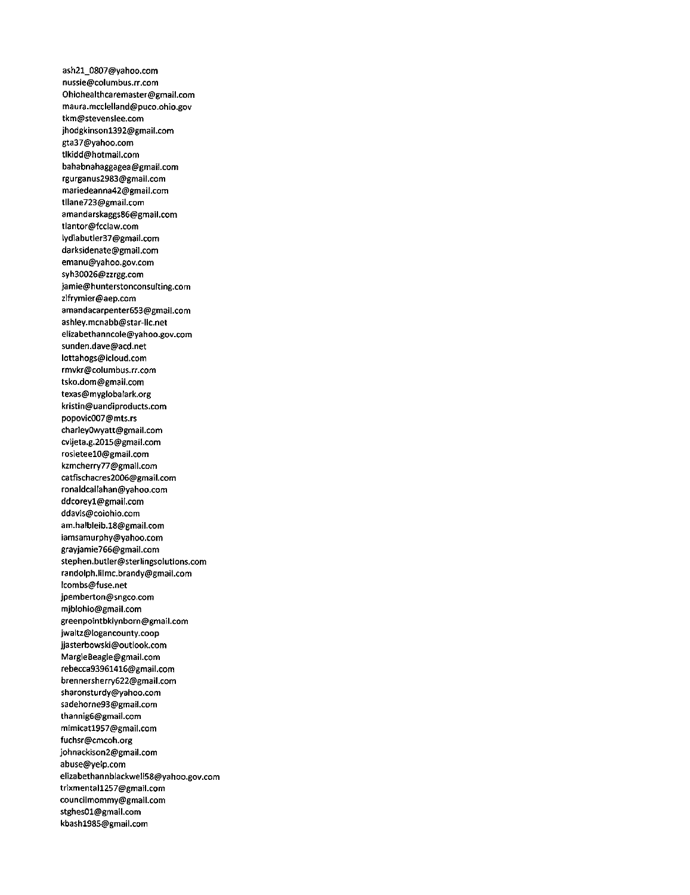ash21\_0807@yahoo.com nussle@columbus.rr.com Ohiohealthcaremaster@gmail.com maura.mcclelland@puco.ohio.gov tkm@stevenslee.com jhodgkinsonl392@gmail.com gta37@yahoo.com tikidd@hotmail.com bahabnahaggagea@gmail.com rgurganus2983@gmail.com mariedeanna42@gmail.com tllane723@gmail.com amandarskaggs86@gmaii.com tlantor@fcclaw.com Iydiabutler37@gmail.com darksidenate@gmail.com emanu@yahoo.gov.com syh30026@zzrgg.com jamie@hunterstonconsulting.com zlfrymier@aep.com amandacarpenter653@gmail.com ashley.mcnabb@star-iic.net elizabethanncoie@yahoo.gov.com sunden.dave@acd.net iottahogs@icloud.com rmvkr@columbus.rr.com tsko.dom@gmail.com texas@mygiobalark.org kristin@uandiproducts.com popovic007@mts.rs charleyOwyatt@gmaii.com cvijeta.g.2015@gmail.com rosieteelO@gmaii.com kzmcherry77@gmail.com C3tfischacres2006@gmaii.com ronaldcaiIahan@yahoo.com ddcoreyl@gmail.com ddavis@coiohio.com am.halbieib.18@gmaii.com iamsamurphy@yahoo.com grayjamie766@gmail.com stephen.butler@steriingsoiutions.com randoiph.iiimc.brandy@gmail.com lcombs@fuse.net jpemberton@sngco.com mjblohio@gmaii.com greenpointbklynborn@gmaii.com jwaltz@Iogancounty.coop jjasterbowski@outlook.com Margie6eagle@gmaii.com rebecca93961416@gmail.com brennersherry622@gmaii.com sharonsturdy@yahoo.com sadehorne93@gmail.com thannig6@gmaii.com mimicatl957@gmail.com fuchsr@cmcoh.org johnackison2@gmaii.com abuse@yelp.com eiizabethannbiackweII58@yahoo.gov.com trixmentall257@gmaii.com counciimommy@gmail.com stghes01@gmaii.com kbashl985@gmaii.com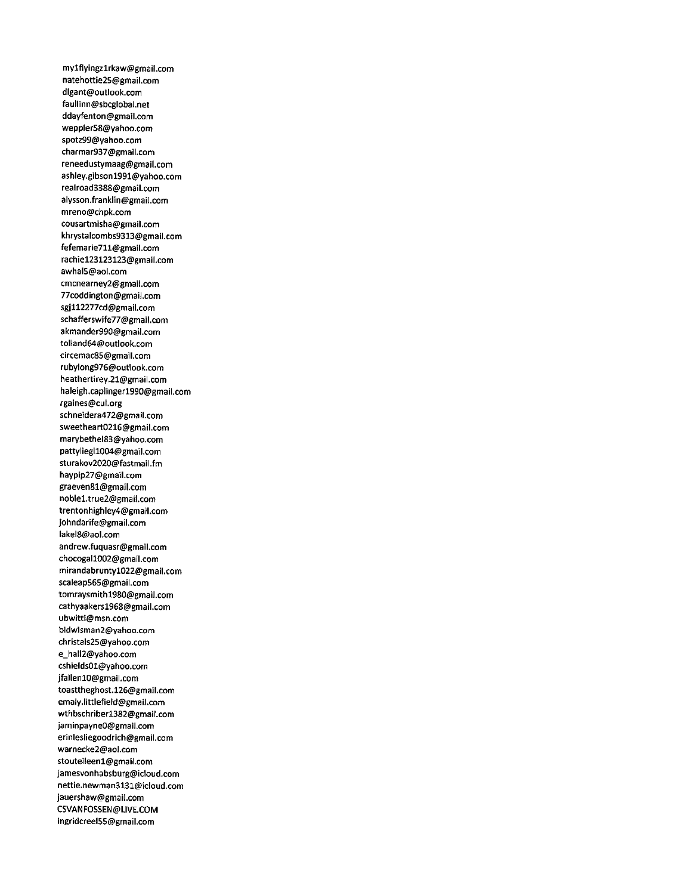mylflyingzlrkaw@gmail.com natehottie25@gmail.com dlgant@outlook.com faullinn@sbcglobal.net ddayfenton@gmail.com weppler58@yahoo.com spotz99@yahoo.com charmar937@gmaii.com reneedustymaag@gmail.com ashley.gibsonl991@yahoo.com realroad3388@gmail.com aiysson.franklin@gmaii.com mreno@chpk.com cousartmisha@gmail.com khrystalcombs9313@gmaii.com fefemarie71l@gmail.com rachiel23123123@gmaii.com awhal5@aoi.com cmcnearney2@gmail.com 77coddington@gmail.com sgjll2277cd@gmail.com schafferswife77@gmail.com akmander990@gmail.com tolland&4@outlook.com circemac85@gmaii.com rubyiong976@outlook.com heathertirey.21@gmaii.com haleigh.capiingerl990@gmaii.com rgaines@cui.org schnetdera472@gmail.com sweetheart0216@gmaii.com marybethel83@yahoo.com pattyiiegil004@gmail.com sturakov2020@fastmail.fm haypip27@gmail.com graeven81@gmail.com noblel.true2@gmaii.com trentonhighley4@gmail.com johndarife@gmail.com lakei8@aol.com andrew.fuquasr@gmail.com chocogail002@gmail.com mirandabruntyl022@gmail.com scaieap565@gmaii.com tomraysmithl980@gmail.com cathyaakersl968@gmail.com ubwitti@msn.com bidwisman2@yahoo.com christals25@yahoo.com e\_hall2@yahoo.com cshields01@yahoo.com jfallenlO@gmail.com toasttheghost.126@gmail.com emaly.littlefield@gmail.com wthbschriberl382@gmaif.com laminpayneO@gmail.com erinlesliegoodrich@gmail.com warnecke2@aol.com stouteileenl@gmail.com jamesvonhabsburg@icloud.com nettie.newman3131@icloud.com jauershaw@gmail.com CSVANFOSSEN@LIVE.COM ingridcreel55@gmail.com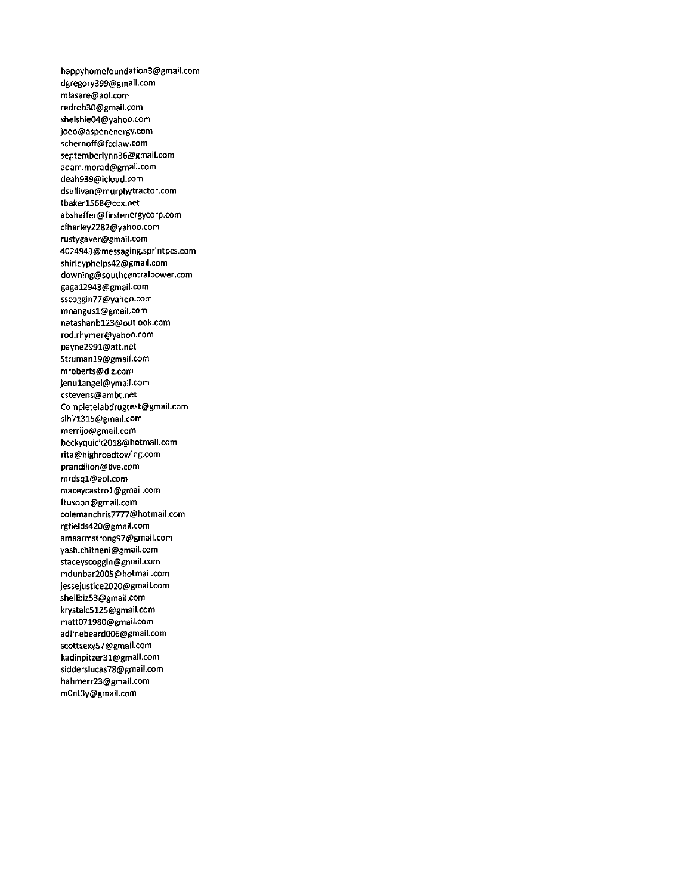happyhomefoundation3@gmail.com dgregory399@gmail.com mlasare@aol.com redrob30@gmail.com shelshie04@yahoo.com joeo@aspenenergy.com schernoff@fcclaw.com septemberlynn36@gmail.com adam.morad@gmail.com deah939@icloud.com dsullivan@murphytractor.com tbakerl568@cox.net abshaffer@firstenergycorp.com cfharley2282@yahoo.com rustygaver@gmail.com 4024943@messaging.sprintpcs.com shirleyphelps42@gmail.com downing@southcentralpower.com gagal2943@gmail.com sscoggin77@yahoo.com mnangusl@gmail-com natashanbl23@oytlook.com rod.rhymer@yahoo.com payne2991@att.net Strumanl9@gmail.com mr0berts@dl2.com jenulangel@ymail.com cstevens@ambt.net Completelabdrugtest@gmail.com slh71315@gmail.com merrijo@gmail.com beckyquick2018@hotmail.com rita@highroadtowing.com prandilion@live.com mrdsql@aol.com maceycastrol@gmail.com ftusoon@gmail.com colemanchris7777@hotmail.com rgfieids420@gmail.com amaarmstrong97@gmail.com yash.chitneni@gmail.com staceyscoggin@gmail.com mdunbar2005@hotmail.com jessejustice2020@gmail.com 5hellbiz53@gmail.com krystalc5125@gmeil.com matt071980@gmail.com adlinebeard006@gmail.com scottsexy57@gmail.com kadinpitzer31@gmail.com sidderslucas78@gmail.com hahmerr23@gmail.com m0nt3y@gmail.com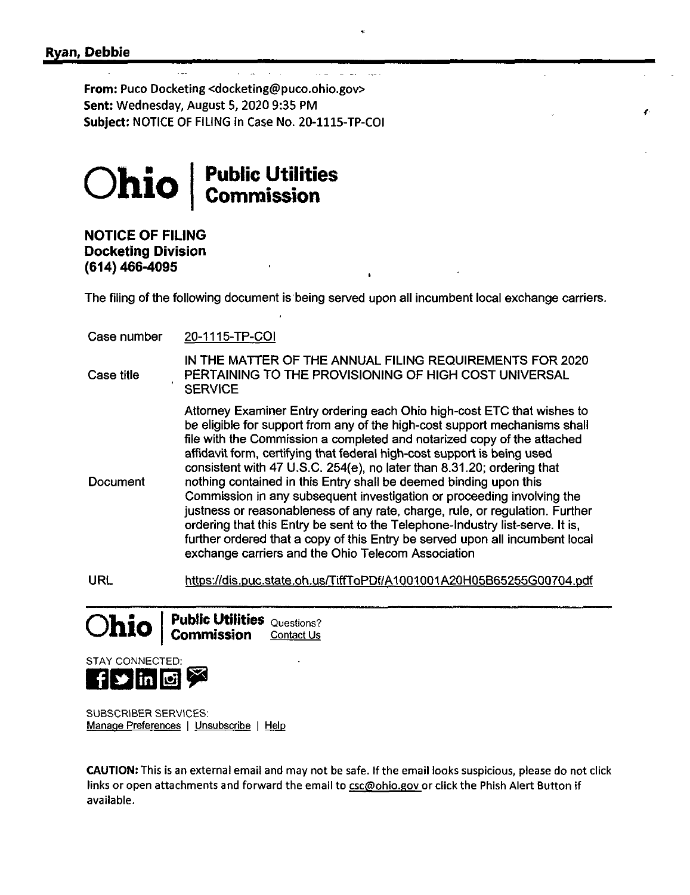From: Puco Docketing <docketing@puco.ohlo.gov> Sent: Wednesday, August 5, 2020 9:35 PM Subject: NOTICE OF FILING in Case No. 20-1115-TP-COI



## **NOTICE OF FILING Docketing Division (614)466-4095**

The filing of the following document is being served upon all incumbent local exchange carriers.

Case number 20-1115-TP-CQI

- Case title IN THE MATTER OF THE ANNUAL FILING REQUIREMENTS FOR 2020 PERTAINING TO THE PROVISIONING OF HIGH COST UNIVERSAL **SERVICE**
- **Document** Attorney Examiner Entry ordering each Ohio high-cost ETC that wishes to be eligible for support from any of the high-cost support mechanisms shall file with the Commission a completed and notarized copy of the attached affidavit form, certifying that federal high-cost support is being used consistent with 47 U.S.C. 254(e), no later than 8.31.20; ordering that nothing contained in this Entry shall be deemed binding upon this Commission in any subsequent investigation or proceeding involving the justness or reasonableness of any rate, charge, rule, or regulation. Further ordering that this Entry be sent to the Telephone-Industry list-serve. It is. further ordered that a copy of this Entry be served upon all incumbent local exchange carriers and the Ohio Telecom Association
- URL https://dis.Duc.state.oh.usrriffToPDf/A1001001A2QH05B65255G0Q704.Ddf

**Ohio** Public Utilities Questions? Commission Contact Us



SUBSCRIBER SERVICES: Manage Preferences <sup>|</sup> Unsubscribe <sup>|</sup> Help

CAUTION: This Is an external email and may not be safe. If the email looks suspicious, please do not click links or open attachments and forward the email to csc@ohio.gov or click the Phish Alert Button if available.